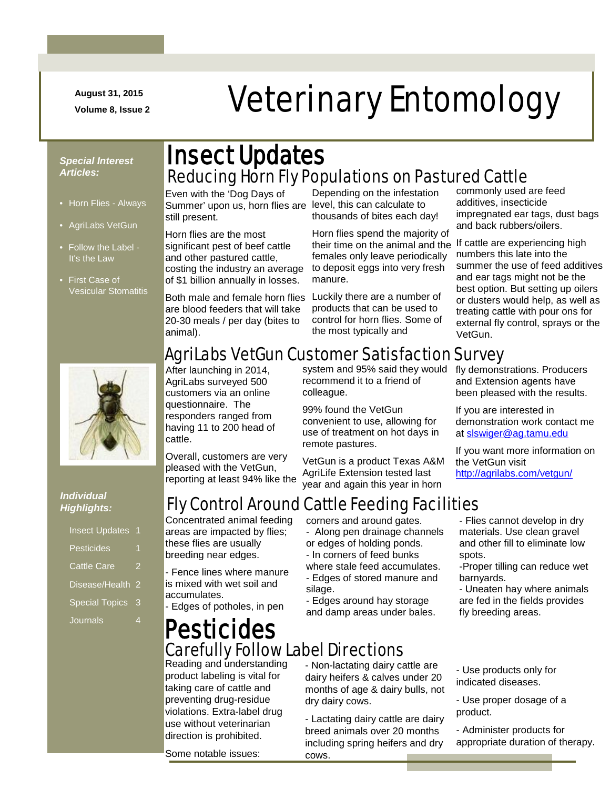**August 31, 2015**

## N m -/.///../. mmmmmmmm August 31, 2015<br>Veterinary Entomology

#### *Special Interest Articles:*

- Horn Flies Always
- AgriLabs VetGun
- Follow the Label It's the Law
- First Case of Vesicular Stomatitis



#### *Individual Highlights:*

| <b>Insect Updates</b> |   |
|-----------------------|---|
| Pesticides            |   |
| <b>Cattle Care</b>    | 2 |
| Disease/Health        | 2 |
| <b>Special Topics</b> | 3 |
| Journals              |   |

## Insect Updates Reducing Horn Fly Populations on Pastured Cattle

Even with the 'Dog Days of Summer' upon us, horn flies are still present.

Horn flies are the most significant pest of beef cattle and other pastured cattle, costing the industry an average of \$1 billion annually in losses.

Both male and female horn flies Luckily there are a number of are blood feeders that will take 20-30 meals / per day (bites to animal).

Depending on the infestation level, this can calculate to thousands of bites each day!

Horn flies spend the majority of their time on the animal and the If cattle are experiencing high females only leave periodically to deposit eggs into very fresh manure.

products that can be used to control for horn flies. Some of the most typically and

commonly used are feed additives, insecticide impregnated ear tags, dust bags and back rubbers/oilers.

numbers this late into the summer the use of feed additives and ear tags might not be the best option. But setting up oilers or dusters would help, as well as treating cattle with pour ons for external fly control, sprays or the VetGun.

## AgriLabs VetGun Customer Satisfaction Survey

After launching in 2014, AgriLabs surveyed 500 customers via an online questionnaire. The responders ranged from having 11 to 200 head of cattle.

Overall, customers are very pleased with the VetGun, reporting at least 94% like the system and 95% said they would recommend it to a friend of colleague.

99% found the VetGun convenient to use, allowing for use of treatment on hot days in remote pastures.

VetGun is a product Texas A&M AgriLife Extension tested last year and again this year in horn

- Along pen drainage channels or edges of holding ponds. - In corners of feed bunks where stale feed accumulates. - Edges of stored manure and

## Fly Control Around Cattle Feeding Facilities corners and around gates.

silage.

Concentrated animal feeding areas are impacted by flies; these flies are usually breeding near edges.

- Fence lines where manure is mixed with wet soil and accumulates.
- Edges of potholes, in pen

## Carefully Follow Label Directions **Pesticides**

Reading and understanding product labeling is vital for taking care of cattle and preventing drug-residue violations. Extra-label drug use without veterinarian direction is prohibited.

- Non-lactating dairy cattle are dairy heifers & calves under 20 months of age & dairy bulls, not dry dairy cows.

- Edges around hay storage and damp areas under bales.

- Lactating dairy cattle are dairy breed animals over 20 months including spring heifers and dry cows.

fly demonstrations. Producers and Extension agents have been pleased with the results.

If you are interested in demonstration work contact me at [slswiger@ag.tamu.edu](mailto:slswiger@ag.tamu.edu)

If you want more information on the VetGun visit <http://agrilabs.com/vetgun/>

- Flies cannot develop in dry materials. Use clean gravel and other fill to eliminate low spots.

-Proper tilling can reduce wet barnyards.

- Uneaten hay where animals are fed in the fields provides fly breeding areas.

- Use products only for indicated diseases.

- Use proper dosage of a product.

- Administer products for appropriate duration of therapy.

Some notable issues: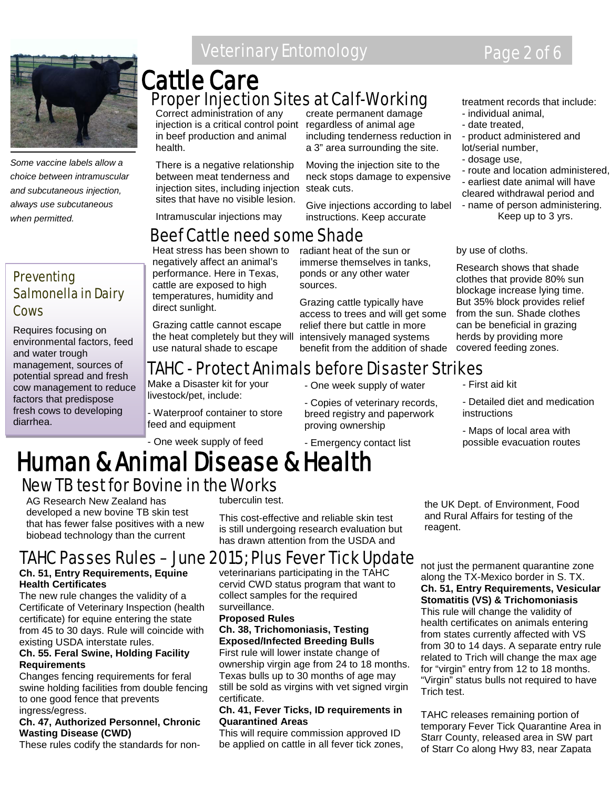

*Some vaccine labels allow a choice between intramuscular and subcutaneous injection, always use subcutaneous when permitted.*

## Veterinary Entomology **Page 2 of 6**

# **Cattle Care**<br>Proper Injection Sites at Calf-Working

Correct administration of any injection is a critical control point regardless of animal age in beef production and animal health.

There is a negative relationship between meat tenderness and injection sites, including injection steak cuts. sites that have no visible lesion.

Intramuscular injections may

### radiant heat of the sun or Beef Cattle need some Shade

Heat stress has been shown to negatively affect an animal's performance. Here in Texas, cattle are exposed to high

use natural shade to escape

create permanent damage including tenderness reduction in a 3" area surrounding the site.

Moving the injection site to the neck stops damage to expensive

Give injections according to label instructions. Keep accurate

treatment records that include: - individual animal,

- date treated,
- product administered and lot/serial number,
- dosage use,
- route and location administered,
- earliest date animal will have cleared withdrawal period and
- name of person administering. Keep up to 3 yrs.

by use of cloths.

Research shows that shade clothes that provide 80% sun blockage increase lying time. But 35% block provides relief from the sun. Shade clothes can be beneficial in grazing herds by providing more covered feeding zones.

## **Preventing** Salmonella in Dairy Cows

Requires focusing on environmental factors, feed and water trough management, sources of potential spread and fresh cow management to reduce factors that predispose fresh cows to developing diarrhea.

#### temperatures, humidity and direct sunlight. Grazing cattle cannot escape the heat completely but they will

immerse themselves in tanks, ponds or any other water sources.

Grazing cattle typically have access to trees and will get some relief there but cattle in more intensively managed systems benefit from the addition of shade

## TAHC - Protect Animals before Disaster Strikes

Make a Disaster kit for your livestock/pet, include:

- Waterproof container to store feed and equipment

- One week supply of feed

- One week supply of water

- Copies of veterinary records, breed registry and paperwork proving ownership

- Emergency contact list

- First aid kit

- Detailed diet and medication instructions

- Maps of local area with possible evacuation routes

## New TB test for Bovine in the Works Human & Animal Disease & Health

AG Research New Zealand has developed a new bovine TB skin test that has fewer false positives with a new biobead technology than the current

tuberculin test.

This cost-effective and reliable skin test is still undergoing research evaluation but has drawn attention from the USDA and

## TAHC Passes Rules – June 2015; Plus Fever Tick Update

#### **Ch. 51, Entry Requirements, Equine Health Certificates**

The new rule changes the validity of a Certificate of Veterinary Inspection (health certificate) for equine entering the state from 45 to 30 days. Rule will coincide with existing USDA interstate rules.

#### **Ch. 55. Feral Swine, Holding Facility Requirements**

Changes fencing requirements for feral swine holding facilities from double fencing to one good fence that prevents ingress/egress.

#### **Ch. 47, Authorized Personnel, Chronic Wasting Disease (CWD)**

These rules codify the standards for non-

veterinarians participating in the TAHC

cervid CWD status program that want to collect samples for the required surveillance.

#### **Proposed Rules**

#### **Ch. 38, Trichomoniasis, Testing Exposed/Infected Breeding Bulls**

First rule will lower instate change of ownership virgin age from 24 to 18 months. Texas bulls up to 30 months of age may still be sold as virgins with vet signed virgin certificate.

#### **Ch. 41, Fever Ticks, ID requirements in Quarantined Areas**

This will require commission approved ID be applied on cattle in all fever tick zones, the UK Dept. of Environment, Food and Rural Affairs for testing of the reagent.

not just the permanent quarantine zone along the TX-Mexico border in S. TX. **Ch. 51, Entry Requirements, Vesicular Stomatitis (VS) & Trichomoniasis** This rule will change the validity of health certificates on animals entering from states currently affected with VS from 30 to 14 days. A separate entry rule related to Trich will change the max age for "virgin" entry from 12 to 18 months. "Virgin" status bulls not required to have Trich test.

TAHC releases remaining portion of temporary Fever Tick Quarantine Area in Starr County, released area in SW part of Starr Co along Hwy 83, near Zapata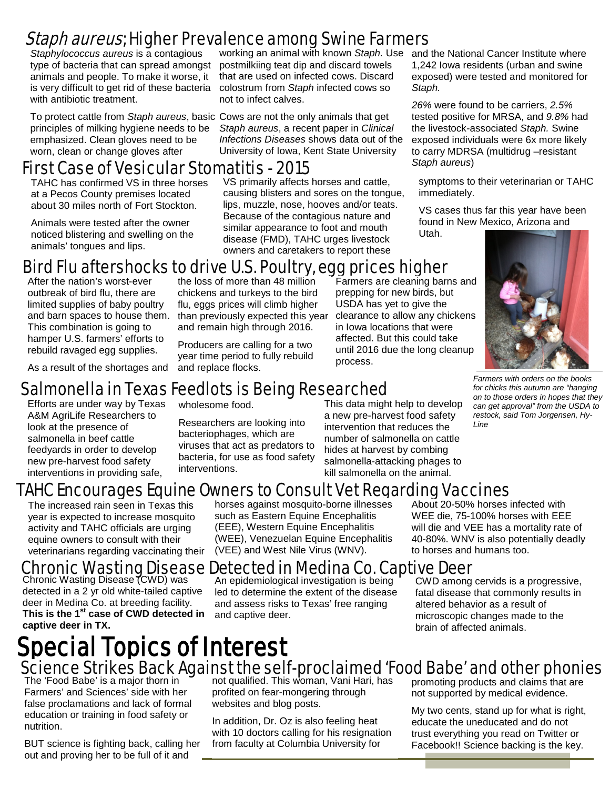## *Staph aureus*; Higher Prevalence among Swine Farmers

*Staphylococcus aureus* is a contagious type of bacteria that can spread amongst animals and people. To make it worse, it is very difficult to get rid of these bacteria with antibiotic treatment.

To protect cattle from *Staph aureus*, basic Cows are not the only animals that get principles of milking hygiene needs to be emphasized. Clean gloves need to be worn, clean or change gloves after

## *Staph aureus*) First Case of Vesicular Stomatitis - 2015

TAHC has confirmed VS in three horses at a Pecos County premises located about 30 miles north of Fort Stockton.

Animals were tested after the owner noticed blistering and swelling on the animals' tongues and lips.

working an animal with known *Staph.* Use and the National Cancer Institute where postmilkiing teat dip and discard towels that are used on infected cows. Discard colostrum from *Staph* infected cows so not to infect calves.

*Staph aureus*, a recent paper in *Clinical Infections Diseases* shows data out of the University of Iowa, Kent State University

VS primarily affects horses and cattle, causing blisters and sores on the tongue, lips, muzzle, nose, hooves and/or teats. Because of the contagious nature and similar appearance to foot and mouth disease (FMD), TAHC urges livestock owners and caretakers to report these

1,242 Iowa residents (urban and swine exposed) were tested and monitored for *Staph.*

*26%* were found to be carriers, *2.5%* tested positive for MRSA, and *9.8%* had the livestock-associated *Staph.* Swine exposed individuals were 6x more likely to carry MDRSA (multidrug –resistant

symptoms to their veterinarian or TAHC immediately.

VS cases thus far this year have been found in New Mexico, Arizona and

Utah.

## Bird Flu aftershocks to drive U.S. Poultry, egg prices higher

After the nation's worst-ever outbreak of bird flu, there are limited supplies of baby poultry and barn spaces to house them. This combination is going to hamper U.S. farmers' efforts to rebuild ravaged egg supplies.

the loss of more than 48 million chickens and turkeys to the bird flu, eggs prices will climb higher than previously expected this year and remain high through 2016.

Producers are calling for a two year time period to fully rebuild and replace flocks.

Farmers are cleaning barns and prepping for new birds, but USDA has yet to give the clearance to allow any chickens in Iowa locations that were affected. But this could take until 2016 due the long cleanup process.



*Farmers with orders on the books for chicks this autumn are "hanging on to those orders in hopes that they can get approval" from the USDA to restock, said Tom Jorgensen, Hy-Line*

As a result of the shortages and

## Salmonella in Texas Feedlots is Being Researched

Efforts are under way by Texas A&M AgriLife Researchers to look at the presence of salmonella in beef cattle feedyards in order to develop new pre-harvest food safety interventions in providing safe,

wholesome food.

Researchers are looking into bacteriophages, which are viruses that act as predators to bacteria, for use as food safety interventions.

This data might help to develop a new pre-harvest food safety intervention that reduces the number of salmonella on cattle hides at harvest by combing salmonella-attacking phages to kill salmonella on the animal.

## TAHC Encourages Equine Owners to Consult Vet Regarding Vaccines

The increased rain seen in Texas this year is expected to increase mosquito activity and TAHC officials are urging equine owners to consult with their veterinarians regarding vaccinating their

horses against mosquito-borne illnesses such as Eastern Equine Encephalitis (EEE), Western Equine Encephalitis (WEE), Venezuelan Equine Encephalitis (VEE) and West Nile Virus (WNV).

About 20-50% horses infected with WEE die, 75-100% horses with EEE will die and VEE has a mortality rate of 40-80%. WNV is also potentially deadly to horses and humans too.

## Chronic Wasting Disease Detected in Medina Co. Captive Deer

Chronic Wasting Disease (CWD) was detected in a 2 yr old white-tailed captive deer in Medina Co. at breeding facility. **This is the 1st case of CWD detected in captive deer in TX.**

An epidemiological investigation is being led to determine the extent of the disease and assess risks to Texas' free ranging and captive deer.

CWD among cervids is a progressive, fatal disease that commonly results in altered behavior as a result of microscopic changes made to the brain of affected animals.

## Special Topics of Interest Science Strikes Back Against the self-proclaimed 'Food Babe' and other phonies Ì

The 'Food Babe' is a major thorn in Farmers' and Sciences' side with her false proclamations and lack of formal education or training in food safety or nutrition.

BUT science is fighting back, calling her out and proving her to be full of it and

not qualified. This woman, Vani Hari, has profited on fear-mongering through websites and blog posts.

In addition, Dr. Oz is also feeling heat with 10 doctors calling for his resignation from faculty at Columbia University for

promoting products and claims that are not supported by medical evidence.

My two cents, stand up for what is right, educate the uneducated and do not trust everything you read on Twitter or Facebook!! Science backing is the key.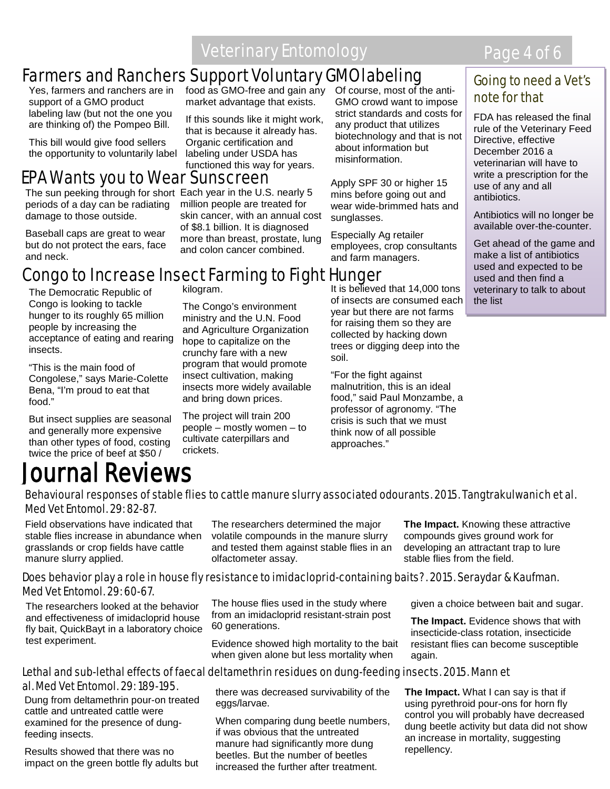## Farmers and Ranchers Support Voluntary GMO labeling

Yes, farmers and ranchers are in support of a GMO product labeling law (but not the one you are thinking of) the Pompeo Bill.

This bill would give food sellers<br>the opportunity to voluntarily label This bill would give food sellers

## **EPA Wants you to Wear Sunscreen** Apply SPF 30 or higher 15

The sun peeking through for short Each year in the U.S. nearly 5 periods of a day can be radiating damage to those outside.

Baseball caps are great to wear but do not protect the ears, face and neck.

food as GMO-free and gain any Of course, most of the antimarket advantage that exists.

If this sounds like it might work, that is because it already has. Organic certification and labeling under USDA has functioned this way for years.

million people are treated for skin cancer, with an annual cost of \$8.1 billion. It is diagnosed more than breast, prostate, lung and colon cancer combined.

GMO crowd want to impose strict standards and costs for any product that utilizes biotechnology and that is not about information but misinformation.

mins before going out and wear wide-brimmed hats and sunglasses.

Especially Ag retailer employees, crop consultants and farm managers.

## kilogram. Congo to Increase Insect Farming to Fight Hunger

The Democratic Republic of Congo is looking to tackle hunger to its roughly 65 million people by increasing the acceptance of eating and rearing insects.

"This is the main food of Congolese," says Marie-Colette Bena, "I'm proud to eat that food."

But insect supplies are seasonal and generally more expensive than other types of food, costing twice the price of beef at \$50 /

## Journal Reviews

ministry and the U.N. Food and Agriculture Organization hope to capitalize on the crunchy fare with a new

program that would promote insect cultivation, making insects more widely available and bring down prices.

The Congo's environment

The project will train 200 people – mostly women – to cultivate caterpillars and crickets.

It is believed that 14,000 tons of insects are consumed each year but there are not farms for raising them so they are collected by hacking down trees or digging deep into the soil.

"For the fight against malnutrition, this is an ideal food," said Paul Monzambe, a professor of agronomy. "The crisis is such that we must think now of all possible approaches."

## Going to need a Vet's note for that

FDA has released the final rule of the Veterinary Feed Directive, effective December 2016 a veterinarian will have to write a prescription for the use of any and all antibiotics.

Antibiotics will no longer be available over-the-counter.

Get ahead of the game and make a list of antibiotics used and expected to be used and then find a veterinary to talk to about the list

## Behavioural responses of stable flies to cattle manure slurry associated odourants. 2015. Tangtrakulwanich et al. Med Vet Entomol. 29: 82-87.

Field observations have indicated that stable flies increase in abundance when grasslands or crop fields have cattle manure slurry applied.

The researchers determined the major volatile compounds in the manure slurry and tested them against stable flies in an olfactometer assay.

**The Impact.** Knowing these attractive compounds gives ground work for developing an attractant trap to lure stable flies from the field.

#### Does behavior play a role in house fly resistance to imidacloprid-containing baits?. 2015. Seraydar & Kaufman. Med Vet Entomol. 29: 60-67.

The researchers looked at the behavior and effectiveness of imidacloprid house fly bait, QuickBayt in a laboratory choice test experiment.

Lethal and sub-lethal effects of faecal deltamethrin residues on dung-feeding insects. 2015. Mann et al. Med Vet Entomol. 29: 189-195.

Dung from deltamethrin pour-on treated cattle and untreated cattle were examined for the presence of dungfeeding insects.

Results showed that there was no impact on the green bottle fly adults but The house flies used in the study where

from an imidacloprid resistant-strain post 60 generations.

Evidence showed high mortality to the bait when given alone but less mortality when

given a choice between bait and sugar.

**The Impact.** Evidence shows that with insecticide-class rotation, insecticide resistant flies can become susceptible again.

there was decreased survivability of the eggs/larvae.

When comparing dung beetle numbers, if was obvious that the untreated manure had significantly more dung beetles. But the number of beetles increased the further after treatment.

**The Impact.** What I can say is that if using pyrethroid pour-ons for horn fly control you will probably have decreased dung beetle activity but data did not show an increase in mortality, suggesting repellency.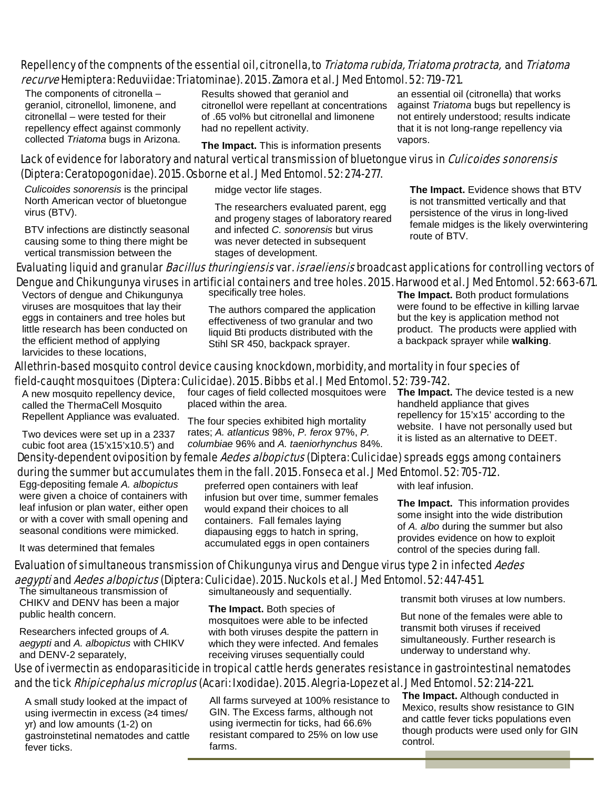#### Repellency of the compnents of the essential oil, citronella, to Triatoma rubida, Triatoma protracta, and Triatoma recurve Hemiptera: Reduviidae: Triatominae). 2015. Zamora et al. J Med Entomol. 52: 719-721.

The components of citronella – geraniol, citronellol, limonene, and citronellal – were tested for their repellency effect against commonly collected *Triatoma* bugs in Arizona.

Results showed that geraniol and citronellol were repellant at concentrations of .65 vol% but citronellal and limonene had no repellent activity.

**The Impact.** This is information presents

an essential oil (citronella) that works against *Triatoma* bugs but repellency is not entirely understood; results indicate that it is not long-range repellency via vapors.

## Lack of evidence for laboratory and natural vertical transmission of bluetonque virus in *Culicoides sonorensis* (Diptera: Ceratopogonidae). 2015. Osborne et al. J Med Entomol. 52: 274-277.

*Culicoides sonorensis* is the principal North American vector of bluetongue virus (BTV).

BTV infections are distinctly seasonal causing some to thing there might be vertical transmission between the

midge vector life stages.

The researchers evaluated parent, egg and progeny stages of laboratory reared and infected *C. sonorensis* but virus was never detected in subsequent stages of development.

**The Impact.** Evidence shows that BTV is not transmitted vertically and that persistence of the virus in long-lived female midges is the likely overwintering route of BTV.

## Evaluating liquid and granular *Bacillus thuringiensis* var. *israeliensis* broadcast applications for controlling vectors of Dengue and Chikungunya viruses in artificial containers and tree holes. 2015. Harwood et al. J Med Entomol. 52: 663-671.

Vectors of dengue and Chikungunya viruses are mosquitoes that lay their eggs in containers and tree holes but little research has been conducted on the efficient method of applying larvicides to these locations,

specifically tree holes.

The authors compared the application effectiveness of two granular and two liquid Bti products distributed with the Stihl SR 450, backpack sprayer.

**The Impact.** Both product formulations were found to be effective in killing larvae but the key is application method not product. The products were applied with a backpack sprayer while **walking**.

#### Allethrin-based mosquito control device causing knockdown, morbidity, and mortality in four species of field-caught mosquitoes (Diptera: Culicidae). 2015. Bibbs et al. J Med Entomol. 52: 739-742. four cages of field collected mosquitoes were **The Impact.** The device tested is a new

placed within the area.

A new mosquito repellency device, called the ThermaCell Mosquito Repellent Appliance was evaluated.

Two devices were set up in a 2337 cubic foot area (15'x15'x10.5') and

The four species exhibited high mortality rates; *A. atlanticus* 98%, *P. ferox* 97%, *P.* 

#### *columbiae* 96% and *A. taeniorhynchus* 84%. it is listed as an alternative to DEET. Density-dependent oviposition by female Aedes albopictus (Diptera: Culicidae) spreads eggs among containers during the summer but accumulates them in the fall. 2015. Fonseca et al. J Med Entomol. 52: 705-712.

 $\overline{a}$ Egg-depositing female *A. albopictus* were given a choice of containers with leaf infusion or plan water, either open or with a cover with small opening and seasonal conditions were mimicked.

It was determined that females

preferred open containers with leaf infusion but over time, summer females would expand their choices to all containers. Fall females laying diapausing eggs to hatch in spring, accumulated eggs in open containers

with leaf infusion.

handheld appliance that gives

repellency for 15'x15' according to the website. I have not personally used but

**The Impact.** This information provides some insight into the wide distribution of *A. albo* during the summer but also provides evidence on how to exploit control of the species during fall.

## Evaluation of simultaneous transmission of Chikungunya virus and Dengue virus type 2 in infected Aedes aegypti and Aedes albopictus (Diptera: Culicidae). 2015. Nuckols et al. J Med Entomol. 52: 447-451.

The simultaneous transmission of CHIKV and DENV has been a major public health concern.

Researchers infected groups of *A. aegypti* and *A. albopictus* with CHIKV and DENV-2 separately,

simultaneously and sequentially.

**The Impact.** Both species of mosquitoes were able to be infected with both viruses despite the pattern in which they were infected. And females receiving viruses sequentially could

transmit both viruses at low numbers.

But none of the females were able to transmit both viruses if received simultaneously. Further research is underway to understand why.

## Use of ivermectin as endoparasiticide in tropical cattle herds generates resistance in gastrointestinal nematodes and the tick *Rhipicephalus microplus* (Acari: Ixodidae). 2015. Alegria-Lopez et al. J Med Entomol. 52: 214-221.

 A small study looked at the impact of using ivermectin in excess (≥4 times/ yr) and low amounts (1-2) on gastroinstetinal nematodes and cattle fever ticks.

All farms surveyed at 100% resistance to GIN. The Excess farms, although not using ivermectin for ticks, had 66.6% resistant compared to 25% on low use farms.

**The Impact.** Although conducted in Mexico, results show resistance to GIN and cattle fever ticks populations even though products were used only for GIN control.